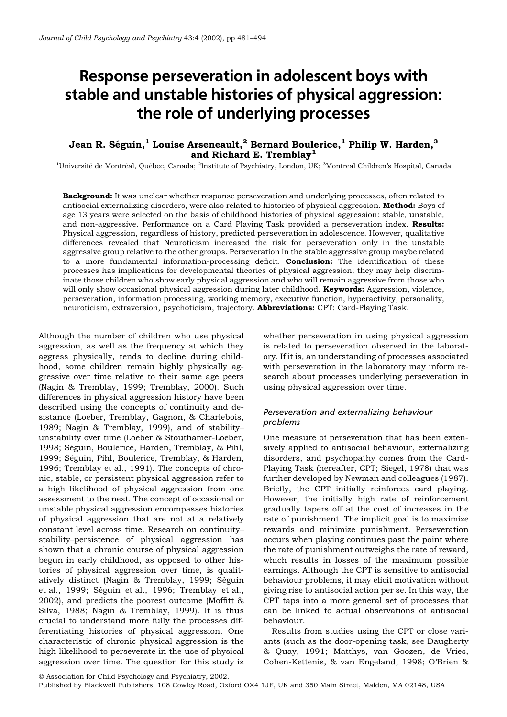# Response perseveration in adolescent boys with stable and unstable histories of physical aggression: the role of underlying processes

# Jean R. Séguin,<sup>1</sup> Louise Arseneault,<sup>2</sup> Bernard Boulerice,<sup>1</sup> Philip W. Harden,<sup>3</sup> and Richard E. Tremblay<sup>1</sup>

<sup>1</sup>Université de Montréal, Québec, Canada; <sup>2</sup>Institute of Psychiatry, London, UK; <sup>3</sup>Montreal Children's Hospital, Canada

**Background:** It was unclear whether response perseveration and underlying processes, often related to antisocial externalizing disorders, were also related to histories of physical aggression. Method: Boys of age 13 years were selected on the basis of childhood histories of physical aggression: stable, unstable, and non-aggressive. Performance on a Card Playing Task provided a perseveration index. Results: Physical aggression, regardless of history, predicted perseveration in adolescence. However, qualitative differences revealed that Neuroticism increased the risk for perseveration only in the unstable aggressive group relative to the other groups. Perseveration in the stable aggressive group maybe related to a more fundamental information-processing deficit. **Conclusion:** The identification of these processes has implications for developmental theories of physical aggression; they may help discriminate those children who show early physical aggression and who will remain aggressive from those who will only show occasional physical aggression during later childhood. **Keywords:** Aggression, violence, perseveration, information processing, working memory, executive function, hyperactivity, personality, neuroticism, extraversion, psychoticism, trajectory. **Abbreviations:** CPT: Card-Playing Task.

Although the number of children who use physical aggression, as well as the frequency at which they aggress physically, tends to decline during childhood, some children remain highly physically aggressive over time relative to their same age peers (Nagin & Tremblay, 1999; Tremblay, 2000). Such differences in physical aggression history have been described using the concepts of continuity and desistance (Loeber, Tremblay, Gagnon, & Charlebois, 1989; Nagin & Tremblay, 1999), and of stability– unstability over time (Loeber & Stouthamer-Loeber, 1998; Séguin, Boulerice, Harden, Tremblay, & Pihl, 1999; Séguin, Pihl, Boulerice, Tremblay, & Harden, 1996; Tremblay et al., 1991). The concepts of chronic, stable, or persistent physical aggression refer to a high likelihood of physical aggression from one assessment to the next. The concept of occasional or unstable physical aggression encompasses histories of physical aggression that are not at a relatively constant level across time. Research on continuity– stability–persistence of physical aggression has shown that a chronic course of physical aggression begun in early childhood, as opposed to other histories of physical aggression over time, is qualitatively distinct (Nagin & Tremblay, 1999; Séguin et al., 1999; Séguin et al., 1996; Tremblay et al., 2002), and predicts the poorest outcome (Moffitt & Silva, 1988; Nagin & Tremblay, 1999). It is thus crucial to understand more fully the processes differentiating histories of physical aggression. One characteristic of chronic physical aggression is the high likelihood to perseverate in the use of physical aggression over time. The question for this study is

whether perseveration in using physical aggression is related to perseveration observed in the laboratory. If it is, an understanding of processes associated with perseveration in the laboratory may inform research about processes underlying perseveration in using physical aggression over time.

# Perseveration and externalizing behaviour problems

One measure of perseveration that has been extensively applied to antisocial behaviour, externalizing disorders, and psychopathy comes from the Card-Playing Task (hereafter, CPT; Siegel, 1978) that was further developed by Newman and colleagues (1987). Briefly, the CPT initially reinforces card playing. However, the initially high rate of reinforcement gradually tapers off at the cost of increases in the rate of punishment. The implicit goal is to maximize rewards and minimize punishment. Perseveration occurs when playing continues past the point where the rate of punishment outweighs the rate of reward, which results in losses of the maximum possible earnings. Although the CPT is sensitive to antisocial behaviour problems, it may elicit motivation without giving rise to antisocial action per se. In this way, the CPT taps into a more general set of processes that can be linked to actual observations of antisocial behaviour.

Results from studies using the CPT or close variants (such as the door-opening task, see Daugherty & Quay, 1991; Matthys, van Goozen, de Vries, Cohen-Kettenis, & van Engeland, 1998; O'Brien &

Association for Child Psychology and Psychiatry, 2002.

Published by Blackwell Publishers, 108 Cowley Road, Oxford OX4 1JF, UK and 350 Main Street, Malden, MA 02148, USA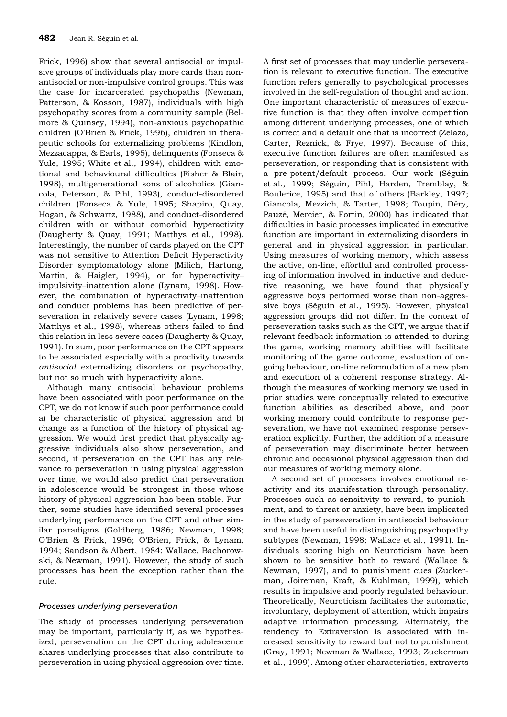Frick, 1996) show that several antisocial or impulsive groups of individuals play more cards than nonantisocial or non-impulsive control groups. This was the case for incarcerated psychopaths (Newman, Patterson, & Kosson, 1987), individuals with high psychopathy scores from a community sample (Belmore & Quinsey, 1994), non-anxious psychopathic children (O'Brien & Frick, 1996), children in therapeutic schools for externalizing problems (Kindlon, Mezzacappa, & Earls, 1995), delinquents (Fonseca & Yule, 1995; White et al., 1994), children with emotional and behavioural difficulties (Fisher & Blair, 1998), multigenerational sons of alcoholics (Giancola, Peterson, & Pihl, 1993), conduct-disordered children (Fonseca & Yule, 1995; Shapiro, Quay, Hogan, & Schwartz, 1988), and conduct-disordered children with or without comorbid hyperactivity (Daugherty & Quay, 1991; Matthys et al., 1998). Interestingly, the number of cards played on the CPT was not sensitive to Attention Deficit Hyperactivity Disorder symptomatology alone (Milich, Hartung, Martin, & Haigler, 1994), or for hyperactivity– impulsivity–inattention alone (Lynam, 1998). However, the combination of hyperactivity–inattention and conduct problems has been predictive of perseveration in relatively severe cases (Lynam, 1998; Matthys et al., 1998), whereas others failed to find this relation in less severe cases (Daugherty & Quay, 1991). In sum, poor performance on the CPT appears to be associated especially with a proclivity towards antisocial externalizing disorders or psychopathy, but not so much with hyperactivity alone.

Although many antisocial behaviour problems have been associated with poor performance on the CPT, we do not know if such poor performance could a) be characteristic of physical aggression and b) change as a function of the history of physical aggression. We would first predict that physically aggressive individuals also show perseveration, and second, if perseveration on the CPT has any relevance to perseveration in using physical aggression over time, we would also predict that perseveration in adolescence would be strongest in those whose history of physical aggression has been stable. Further, some studies have identified several processes underlying performance on the CPT and other similar paradigms (Goldberg, 1986; Newman, 1998; O'Brien & Frick, 1996; O'Brien, Frick, & Lynam, 1994; Sandson & Albert, 1984; Wallace, Bachorowski, & Newman, 1991). However, the study of such processes has been the exception rather than the rule.

## Processes underlying perseveration

The study of processes underlying perseveration may be important, particularly if, as we hypothesized, perseveration on the CPT during adolescence shares underlying processes that also contribute to perseveration in using physical aggression over time. A first set of processes that may underlie perseveration is relevant to executive function. The executive function refers generally to psychological processes involved in the self-regulation of thought and action. One important characteristic of measures of executive function is that they often involve competition among different underlying processes, one of which is correct and a default one that is incorrect (Zelazo, Carter, Reznick, & Frye, 1997). Because of this, executive function failures are often manifested as perseveration, or responding that is consistent with a pre-potent/default process. Our work (Séguin et al., 1999; Séguin, Pihl, Harden, Tremblay, & Boulerice, 1995) and that of others (Barkley, 1997; Giancola, Mezzich, & Tarter, 1998; Toupin, Déry, Pauzé, Mercier, & Fortin, 2000) has indicated that difficulties in basic processes implicated in executive function are important in externalizing disorders in general and in physical aggression in particular. Using measures of working memory, which assess the active, on-line, effortful and controlled processing of information involved in inductive and deductive reasoning, we have found that physically aggressive boys performed worse than non-aggressive boys (Séguin et al., 1995). However, physical aggression groups did not differ. In the context of perseveration tasks such as the CPT, we argue that if relevant feedback information is attended to during the game, working memory abilities will facilitate monitoring of the game outcome, evaluation of ongoing behaviour, on-line reformulation of a new plan and execution of a coherent response strategy. Although the measures of working memory we used in prior studies were conceptually related to executive function abilities as described above, and poor working memory could contribute to response perseveration, we have not examined response perseveration explicitly. Further, the addition of a measure of perseveration may discriminate better between chronic and occasional physical aggression than did our measures of working memory alone.

A second set of processes involves emotional reactivity and its manifestation through personality. Processes such as sensitivity to reward, to punishment, and to threat or anxiety, have been implicated in the study of perseveration in antisocial behaviour and have been useful in distinguishing psychopathy subtypes (Newman, 1998; Wallace et al., 1991). Individuals scoring high on Neuroticism have been shown to be sensitive both to reward (Wallace & Newman, 1997), and to punishment cues (Zuckerman, Joireman, Kraft, & Kuhlman, 1999), which results in impulsive and poorly regulated behaviour. Theoretically, Neuroticism facilitates the automatic, involuntary, deployment of attention, which impairs adaptive information processing. Alternately, the tendency to Extraversion is associated with increased sensitivity to reward but not to punishment (Gray, 1991; Newman & Wallace, 1993; Zuckerman et al., 1999). Among other characteristics, extraverts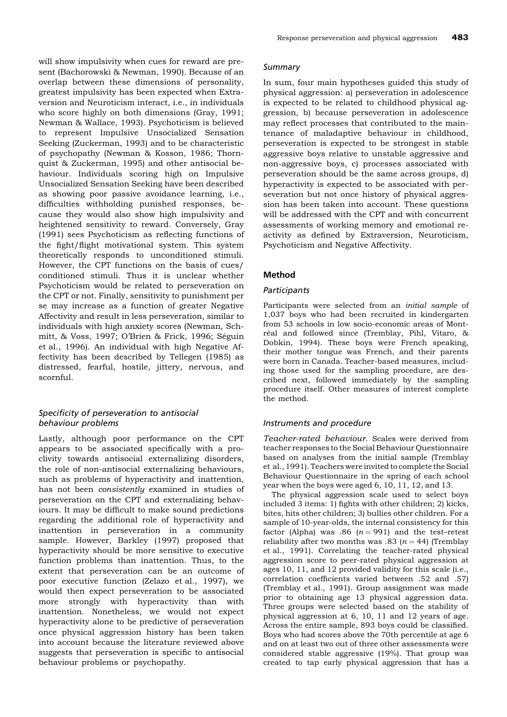will show impulsivity when cues for reward are present (Bachorowski & Newman, 1990). Because of an overlap between these dimensions of personality, greatest impulsivity has been expected when Extraversion and Neuroticism interact, i.e., in individuals who score highly on both dimensions (Gray, 1991; Newman & Wallace, 1993). Psychoticism is believed to represent Impulsive Unsocialized Sensation Seeking (Zuckerman, 1993) and to be characteristic of psychopathy (Newman & Kosson, 1986; Thornquist & Zuckerman, 1995) and other antisocial behaviour. Individuals scoring high on Impulsive Unsocialized Sensation Seeking have been described as showing poor passive avoidance learning, i.e., difficulties withholding punished responses, because they would also show high impulsivity and heightened sensitivity to reward. Conversely, Gray (1991) sees Psychoticism as reflecting functions of the fight/flight motivational system. This system theoretically responds to unconditioned stimuli. However, the CPT functions on the basis of cues/ conditioned stimuli. Thus it is unclear whether Psychoticism would be related to perseveration on the CPT or not. Finally, sensitivity to punishment per se may increase as a function of greater Negative Affectivity and result in less perseveration, similar to individuals with high anxiety scores (Newman, Schmitt, & Voss, 1997; O'Brien & Frick, 1996; Séguin et al., 1996). An individual with high Negative Affectivity has been described by Tellegen (1985) as distressed, fearful, hostile, jittery, nervous, and scornful.

## Specificity of perseveration to antisocial behaviour problems

Lastly, although poor performance on the CPT appears to be associated specifically with a proclivity towards antisocial externalizing disorders, the role of non-antisocial externalizing behaviours, such as problems of hyperactivity and inattention, has not been consistently examined in studies of perseveration on the CPT and externalizing behaviours. It may be difficult to make sound predictions regarding the additional role of hyperactivity and inattention in perseveration in a community sample. However, Barkley (1997) proposed that hyperactivity should be more sensitive to executive function problems than inattention. Thus, to the extent that perseveration can be an outcome of poor executive function (Zelazo et al., 1997), we would then expect perseveration to be associated more strongly with hyperactivity than with inattention. Nonetheless, we would not expect hyperactivity alone to be predictive of perseveration once physical aggression history has been taken into account because the literature reviewed above suggests that perseveration is specific to antisocial behaviour problems or psychopathy.

#### Summary

In sum, four main hypotheses guided this study of physical aggression: a) perseveration in adolescence is expected to be related to childhood physical aggression, b) because perseveration in adolescence may reflect processes that contributed to the maintenance of maladaptive behaviour in childhood, perseveration is expected to be strongest in stable aggressive boys relative to unstable aggressive and non-aggressive boys, c) processes associated with perseveration should be the same across groups, d) hyperactivity is expected to be associated with perseveration but not once history of physical aggression has been taken into account. These questions will be addressed with the CPT and with concurrent assessments of working memory and emotional reactivity as defined by Extraversion, Neuroticism, Psychoticism and Negative Affectivity.

#### Method

#### **Participants**

Participants were selected from an initial sample of 1,037 boys who had been recruited in kindergarten from 53 schools in low socio-economic areas of Montréal and followed since (Tremblay, Pihl, Vitaro, & Dobkin, 1994). These boys were French speaking, their mother tongue was French, and their parents were born in Canada. Teacher-based measures, including those used for the sampling procedure, are described next, followed immediately by the sampling procedure itself. Other measures of interest complete the method.

#### Instruments and procedure

Teacher-rated behaviour. Scales were derived from teacher responses to the Social Behaviour Questionnaire based on analyses from the initial sample (Tremblay et al., 1991). Teachers were invited to complete the Social Behaviour Questionnaire in the spring of each school year when the boys were aged 6, 10, 11, 12, and 13.

The physical aggression scale used to select boys included 3 items: 1) fights with other children; 2) kicks, bites, hits other children; 3) bullies other children. For a sample of 10-year-olds, the internal consistency for this factor (Alpha) was .86 ( $n = 991$ ) and the test–retest reliability after two months was .83 ( $n = 44$ ) (Tremblay et al., 1991). Correlating the teacher-rated physical aggression score to peer-rated physical aggression at ages 10, 11, and 12 provided validity for this scale (i.e., correlation coefficients varied between .52 and .57) (Tremblay et al., 1991). Group assignment was made prior to obtaining age 13 physical aggression data. Three groups were selected based on the stability of physical aggression at 6, 10, 11 and 12 years of age. Across the entire sample, 893 boys could be classified. Boys who had scores above the 70th percentile at age 6 and on at least two out of three other assessments were considered stable aggressive (19%). That group was created to tap early physical aggression that has a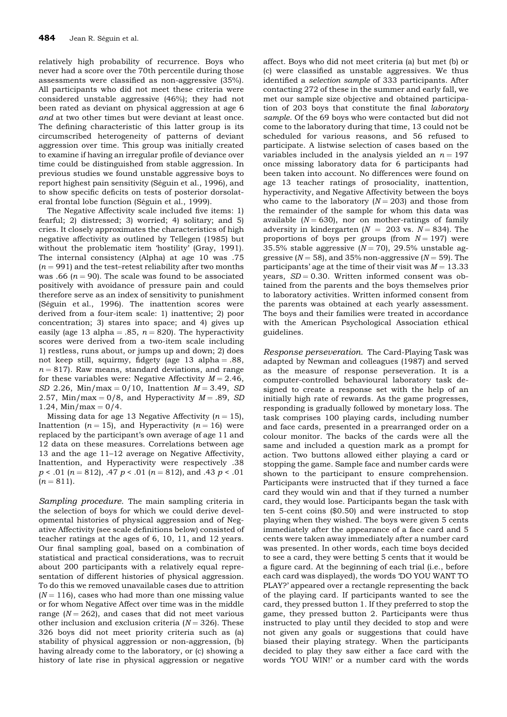relatively high probability of recurrence. Boys who never had a score over the 70th percentile during those assessments were classified as non-aggressive (35%). All participants who did not meet these criteria were considered unstable aggressive (46%); they had not been rated as deviant on physical aggression at age 6 and at two other times but were deviant at least once. The defining characteristic of this latter group is its circumscribed heterogeneity of patterns of deviant aggression over time. This group was initially created to examine if having an irregular profile of deviance over time could be distinguished from stable aggression. In previous studies we found unstable aggressive boys to report highest pain sensitivity (Séguin et al., 1996), and to show specific deficits on tests of posterior dorsolateral frontal lobe function (Séguin et al., 1999).

The Negative Affectivity scale included five items: 1) fearful; 2) distressed; 3) worried; 4) solitary; and 5) cries. It closely approximates the characteristics of high negative affectivity as outlined by Tellegen (1985) but without the problematic item 'hostility' (Gray, 1991). The internal consistency (Alpha) at age 10 was .75  $(n = 991)$  and the test–retest reliability after two months was .66 ( $n = 90$ ). The scale was found to be associated positively with avoidance of pressure pain and could therefore serve as an index of sensitivity to punishment (Séguin et al., 1996). The inattention scores were derived from a four-item scale: 1) inattentive; 2) poor concentration; 3) stares into space; and 4) gives up easily (age 13 alpha = .85,  $n = 820$ ). The hyperactivity scores were derived from a two-item scale including 1) restless, runs about, or jumps up and down; 2) does not keep still, squirmy, fidgety (age  $13$  alpha = .88,  $n = 817$ ). Raw means, standard deviations, and range for these variables were: Negative Affectivity  $M = 2.46$ , SD 2.26, Min/max =  $0/10$ , Inattention  $M = 3.49$ , SD 2.57, Min/max =  $0/8$ , and Hyperactivity  $M = .89$ , SD 1.24,  $Min/max = 0/4$ .

Missing data for age 13 Negative Affectivity ( $n = 15$ ), Inattention ( $n = 15$ ), and Hyperactivity ( $n = 16$ ) were replaced by the participant's own average of age 11 and 12 data on these measures. Correlations between age 13 and the age 11–12 average on Negative Affectivity, Inattention, and Hyperactivity were respectively .38  $p < .01$  (n = 812), .47 p < .01 (n = 812), and .43 p < .01  $(n = 811)$ .

Sampling procedure. The main sampling criteria in the selection of boys for which we could derive developmental histories of physical aggression and of Negative Affectivity (see scale definitions below) consisted of teacher ratings at the ages of 6, 10, 11, and 12 years. Our final sampling goal, based on a combination of statistical and practical considerations, was to recruit about 200 participants with a relatively equal representation of different histories of physical aggression. To do this we removed unavailable cases due to attrition  $(N = 116)$ , cases who had more than one missing value or for whom Negative Affect over time was in the middle range ( $N = 262$ ), and cases that did not meet various other inclusion and exclusion criteria  $(N = 326)$ . These 326 boys did not meet priority criteria such as (a) stability of physical aggression or non-aggression, (b) having already come to the laboratory, or (c) showing a history of late rise in physical aggression or negative

affect. Boys who did not meet criteria (a) but met (b) or (c) were classified as unstable aggressives. We thus identified a selection sample of 333 participants. After contacting 272 of these in the summer and early fall, we met our sample size objective and obtained participation of 203 boys that constitute the final laboratory sample. Of the 69 boys who were contacted but did not come to the laboratory during that time, 13 could not be scheduled for various reasons, and 56 refused to participate. A listwise selection of cases based on the variables included in the analysis yielded an  $n = 197$ once missing laboratory data for 6 participants had been taken into account. No differences were found on age 13 teacher ratings of prosociality, inattention, hyperactivity, and Negative Affectivity between the boys who came to the laboratory  $(N = 203)$  and those from the remainder of the sample for whom this data was available  $(N = 630)$ , nor on mother-ratings of family adversity in kindergarten ( $N = 203$  vs.  $N = 834$ ). The proportions of boys per groups (from  $N = 197$ ) were 35.5% stable aggressive  $(N = 70)$ , 29.5% unstable aggressive ( $N = 58$ ), and 35% non-aggressive ( $N = 59$ ). The participants' age at the time of their visit was  $M = 13.33$ years,  $SD = 0.30$ . Written informed consent was obtained from the parents and the boys themselves prior to laboratory activities. Written informed consent from the parents was obtained at each yearly assessment. The boys and their families were treated in accordance with the American Psychological Association ethical guidelines.

Response perseveration. The Card-Playing Task was adapted by Newman and colleagues (1987) and served as the measure of response perseveration. It is a computer-controlled behavioural laboratory task designed to create a response set with the help of an initially high rate of rewards. As the game progresses, responding is gradually followed by monetary loss. The task comprises 100 playing cards, including number and face cards, presented in a prearranged order on a colour monitor. The backs of the cards were all the same and included a question mark as a prompt for action. Two buttons allowed either playing a card or stopping the game. Sample face and number cards were shown to the participant to ensure comprehension. Participants were instructed that if they turned a face card they would win and that if they turned a number card, they would lose. Participants began the task with ten 5-cent coins (\$0.50) and were instructed to stop playing when they wished. The boys were given 5 cents immediately after the appearance of a face card and 5 cents were taken away immediately after a number card was presented. In other words, each time boys decided to see a card, they were betting 5 cents that it would be a figure card. At the beginning of each trial (i.e., before each card was displayed), the words 'DO YOU WANT TO PLAY?' appeared over a rectangle representing the back of the playing card. If participants wanted to see the card, they pressed button 1. If they preferred to stop the game, they pressed button 2. Participants were thus instructed to play until they decided to stop and were not given any goals or suggestions that could have biased their playing strategy. When the participants decided to play they saw either a face card with the words 'YOU WIN!' or a number card with the words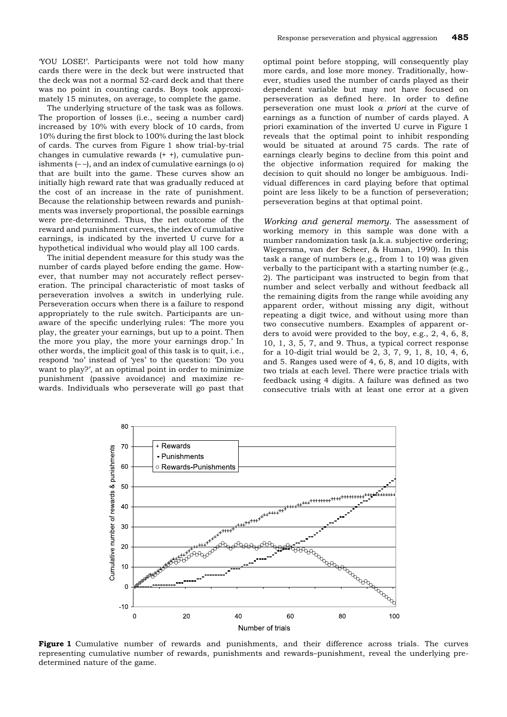'YOU LOSE!'. Participants were not told how many cards there were in the deck but were instructed that the deck was not a normal 52-card deck and that there was no point in counting cards. Boys took approximately 15 minutes, on average, to complete the game.

The underlying structure of the task was as follows. The proportion of losses (i.e., seeing a number card) increased by 10% with every block of 10 cards, from 10% during the first block to 100% during the last block of cards. The curves from Figure 1 show trial-by-trial changes in cumulative rewards (+ +), cumulative punishments  $(-)$ , and an index of cumulative earnings  $(0 0)$ that are built into the game. These curves show an initially high reward rate that was gradually reduced at the cost of an increase in the rate of punishment. Because the relationship between rewards and punishments was inversely proportional, the possible earnings were pre-determined. Thus, the net outcome of the reward and punishment curves, the index of cumulative earnings, is indicated by the inverted U curve for a hypothetical individual who would play all 100 cards.

The initial dependent measure for this study was the number of cards played before ending the game. However, that number may not accurately reflect perseveration. The principal characteristic of most tasks of perseveration involves a switch in underlying rule. Perseveration occurs when there is a failure to respond appropriately to the rule switch. Participants are unaware of the specific underlying rules: 'The more you play, the greater your earnings, but up to a point. Then the more you play, the more your earnings drop.' In other words, the implicit goal of this task is to quit, i.e., respond 'no' instead of 'yes' to the question: 'Do you want to play?', at an optimal point in order to minimize punishment (passive avoidance) and maximize rewards. Individuals who perseverate will go past that optimal point before stopping, will consequently play more cards, and lose more money. Traditionally, however, studies used the number of cards played as their dependent variable but may not have focused on perseveration as defined here. In order to define perseveration one must look a priori at the curve of earnings as a function of number of cards played. A priori examination of the inverted U curve in Figure 1 reveals that the optimal point to inhibit responding would be situated at around 75 cards. The rate of earnings clearly begins to decline from this point and the objective information required for making the decision to quit should no longer be ambiguous. Individual differences in card playing before that optimal point are less likely to be a function of perseveration; perseveration begins at that optimal point.

Working and general memory. The assessment of working memory in this sample was done with a number randomization task (a.k.a. subjective ordering; Wiegersma, van der Scheer, & Human, 1990). In this task a range of numbers (e.g., from 1 to 10) was given verbally to the participant with a starting number (e.g., 2). The participant was instructed to begin from that number and select verbally and without feedback all the remaining digits from the range while avoiding any apparent order, without missing any digit, without repeating a digit twice, and without using more than two consecutive numbers. Examples of apparent orders to avoid were provided to the boy, e.g., 2, 4, 6, 8, 10, 1, 3, 5, 7, and 9. Thus, a typical correct response for a 10-digit trial would be 2, 3, 7, 9, 1, 8, 10, 4, 6, and 5. Ranges used were of 4, 6, 8, and 10 digits, with two trials at each level. There were practice trials with feedback using 4 digits. A failure was defined as two consecutive trials with at least one error at a given



Figure 1 Cumulative number of rewards and punishments, and their difference across trials. The curves representing cumulative number of rewards, punishments and rewards–punishment, reveal the underlying predetermined nature of the game.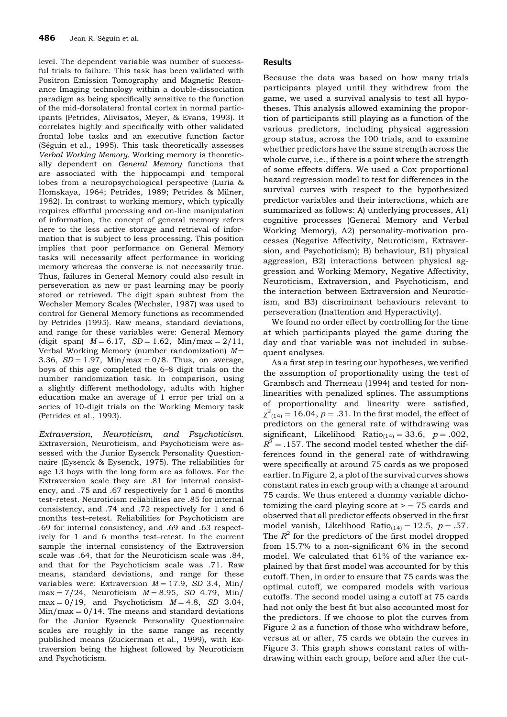level. The dependent variable was number of successful trials to failure. This task has been validated with Positron Emission Tomography and Magnetic Resonance Imaging technology within a double-dissociation paradigm as being specifically sensitive to the function of the mid-dorsolateral frontal cortex in normal participants (Petrides, Alivisatos, Meyer, & Evans, 1993). It correlates highly and specifically with other validated frontal lobe tasks and an executive function factor (Séguin et al., 1995). This task theoretically assesses Verbal Working Memory. Working memory is theoretically dependent on General Memory functions that are associated with the hippocampi and temporal lobes from a neuropsychological perspective (Luria & Homskaya, 1964; Petrides, 1989; Petrides & Milner, 1982). In contrast to working memory, which typically requires effortful processing and on-line manipulation of information, the concept of general memory refers here to the less active storage and retrieval of information that is subject to less processing. This position implies that poor performance on General Memory tasks will necessarily affect performance in working memory whereas the converse is not necessarily true. Thus, failures in General Memory could also result in perseveration as new or past learning may be poorly stored or retrieved. The digit span subtest from the Wechsler Memory Scales (Wechsler, 1987) was used to control for General Memory functions as recommended by Petrides (1995). Raw means, standard deviations, and range for these variables were: General Memory (digit span)  $M = 6.17$ ,  $SD = 1.62$ ,  $Min/max = 2/11$ , Verbal Working Memory (number randomization)  $M =$ 3.36,  $SD = 1.97$ , Min/max = 0/8. Thus, on average, boys of this age completed the 6–8 digit trials on the number randomization task. In comparison, using a slightly different methodology, adults with higher education make an average of 1 error per trial on a series of 10-digit trials on the Working Memory task (Petrides et al., 1993).

Extraversion, Neuroticism, and Psychoticism. Extraversion, Neuroticism, and Psychoticism were assessed with the Junior Eysenck Personality Questionnaire (Eysenck & Eysenck, 1975). The reliabilities for age 13 boys with the long form are as follows. For the Extraversion scale they are .81 for internal consistency, and .75 and .67 respectively for 1 and 6 months test–retest. Neuroticism reliabilities are .85 for internal consistency, and .74 and .72 respectively for 1 and 6 months test–retest. Reliabilities for Psychoticism are .69 for internal consistency, and .69 and .63 respectively for 1 and 6 months test–retest. In the current sample the internal consistency of the Extraversion scale was .64, that for the Neuroticism scale was .84, and that for the Psychoticism scale was .71. Raw means, standard deviations, and range for these variables were: Extraversion  $M = 17.9$ , SD 3.4, Min/  $max = 7/24$ , Neuroticism  $M = 8.95$ , SD 4.79, Min/  $max = 0/19$ , and Psychoticism  $M = 4.8$ , SD 3.04,  $Min/max = 0/14$ . The means and standard deviations for the Junior Eysenck Personality Questionnaire scales are roughly in the same range as recently published means (Zuckerman et al., 1999), with Extraversion being the highest followed by Neuroticism and Psychoticism.

#### **Results**

Because the data was based on how many trials participants played until they withdrew from the game, we used a survival analysis to test all hypotheses. This analysis allowed examining the proportion of participants still playing as a function of the various predictors, including physical aggression group status, across the 100 trials, and to examine whether predictors have the same strength across the whole curve, i.e., if there is a point where the strength of some effects differs. We used a Cox proportional hazard regression model to test for differences in the survival curves with respect to the hypothesized predictor variables and their interactions, which are summarized as follows: A) underlying processes, A1) cognitive processes (General Memory and Verbal Working Memory), A2) personality-motivation processes (Negative Affectivity, Neuroticism, Extraversion, and Psychoticism); B) behaviour, B1) physical aggression, B2) interactions between physical aggression and Working Memory, Negative Affectivity, Neuroticism, Extraversion, and Psychoticism, and the interaction between Extraversion and Neuroticism, and B3) discriminant behaviours relevant to perseveration (Inattention and Hyperactivity).

We found no order effect by controlling for the time at which participants played the game during the day and that variable was not included in subsequent analyses.

As a first step in testing our hypotheses, we verified the assumption of proportionality using the test of Grambsch and Therneau (1994) and tested for nonlinearities with penalized splines. The assumptions of proportionality and linearity were satisfied,  $\chi^2_{~(14)} = 16.04, \, p = .31.$  In the first model, the effect of predictors on the general rate of withdrawing was significant, Likelihood Ratio<sub>(14)</sub> = 33.6,  $p = .002$ ,  $R^2 = .157$ . The second model tested whether the differences found in the general rate of withdrawing were specifically at around 75 cards as we proposed earlier. In Figure 2, a plot of the survival curves shows constant rates in each group with a change at around 75 cards. We thus entered a dummy variable dichotomizing the card playing score at  $= 75$  cards and observed that all predictor effects observed in the first model vanish, Likelihood Ratio<sub>(14)</sub> = 12.5,  $p = .57$ . The  $R^2$  for the predictors of the first model dropped from 15.7% to a non-significant 6% in the second model. We calculated that 61% of the variance explained by that first model was accounted for by this cutoff. Then, in order to ensure that 75 cards was the optimal cutoff, we compared models with various cutoffs. The second model using a cutoff at 75 cards had not only the best fit but also accounted most for the predictors. If we choose to plot the curves from Figure 2 as a function of those who withdraw before, versus at or after, 75 cards we obtain the curves in Figure 3. This graph shows constant rates of withdrawing within each group, before and after the cut-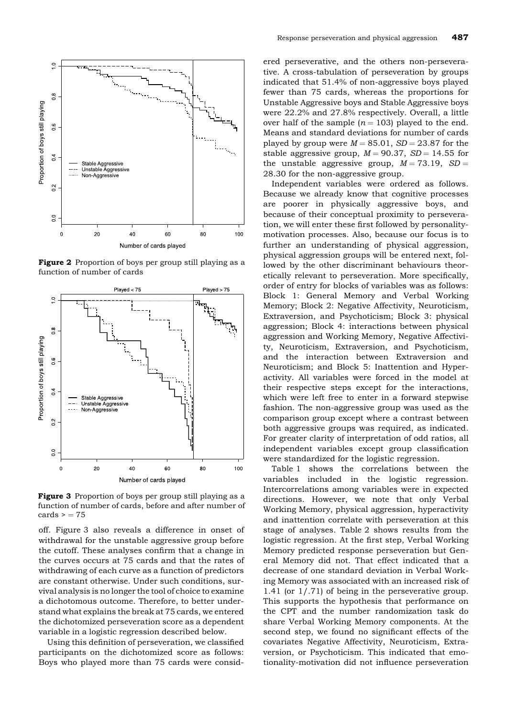

Figure 2 Proportion of boys per group still playing as a function of number of cards



Figure 3 Proportion of boys per group still playing as a function of number of cards, before and after number of cards  $>$   $= 75$ 

off. Figure 3 also reveals a difference in onset of withdrawal for the unstable aggressive group before the cutoff. These analyses confirm that a change in the curves occurs at 75 cards and that the rates of withdrawing of each curve as a function of predictors are constant otherwise. Under such conditions, survival analysis is no longer the tool of choice to examine a dichotomous outcome. Therefore, to better understand what explains the break at 75 cards, we entered the dichotomized perseveration score as a dependent variable in a logistic regression described below.

Using this definition of perseveration, we classified participants on the dichotomized score as follows: Boys who played more than 75 cards were considered perseverative, and the others non-perseverative. A cross-tabulation of perseveration by groups indicated that 51.4% of non-aggressive boys played fewer than 75 cards, whereas the proportions for Unstable Aggressive boys and Stable Aggressive boys were 22.2% and 27.8% respectively. Overall, a little over half of the sample  $(n = 103)$  played to the end. Means and standard deviations for number of cards played by group were  $M = 85.01$ ,  $SD = 23.87$  for the stable aggressive group,  $M = 90.37$ ,  $SD = 14.55$  for the unstable aggressive group,  $M = 73.19$ ,  $SD =$ 28.30 for the non-aggressive group.

Independent variables were ordered as follows. Because we already know that cognitive processes are poorer in physically aggressive boys, and because of their conceptual proximity to perseveration, we will enter these first followed by personalitymotivation processes. Also, because our focus is to further an understanding of physical aggression, physical aggression groups will be entered next, followed by the other discriminant behaviours theoretically relevant to perseveration. More specifically, order of entry for blocks of variables was as follows: Block 1: General Memory and Verbal Working Memory; Block 2: Negative Affectivity, Neuroticism, Extraversion, and Psychoticism; Block 3: physical aggression; Block 4: interactions between physical aggression and Working Memory, Negative Affectivity, Neuroticism, Extraversion, and Psychoticism, and the interaction between Extraversion and Neuroticism; and Block 5: Inattention and Hyperactivity. All variables were forced in the model at their respective steps except for the interactions, which were left free to enter in a forward stepwise fashion. The non-aggressive group was used as the comparison group except where a contrast between both aggressive groups was required, as indicated. For greater clarity of interpretation of odd ratios, all independent variables except group classification were standardized for the logistic regression.

Table 1 shows the correlations between the variables included in the logistic regression. Intercorrelations among variables were in expected directions. However, we note that only Verbal Working Memory, physical aggression, hyperactivity and inattention correlate with perseveration at this stage of analyses. Table 2 shows results from the logistic regression. At the first step, Verbal Working Memory predicted response perseveration but General Memory did not. That effect indicated that a decrease of one standard deviation in Verbal Working Memory was associated with an increased risk of 1.41 (or 1/.71) of being in the perseverative group. This supports the hypothesis that performance on the CPT and the number randomization task do share Verbal Working Memory components. At the second step, we found no significant effects of the covariates Negative Affectivity, Neuroticism, Extraversion, or Psychoticism. This indicated that emotionality-motivation did not influence perseveration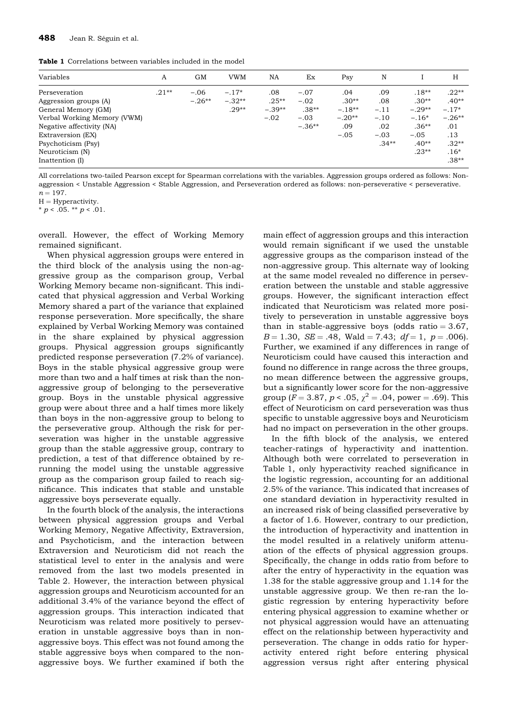Table 1 Correlations between variables included in the model

| Variables                   | A       | GM       | <b>VWM</b> | <b>NA</b> | Ex       | Psy      | N       |          | H        |
|-----------------------------|---------|----------|------------|-----------|----------|----------|---------|----------|----------|
| Perseveration               | $.21**$ | $-.06$   | $-.17*$    | .08       | $-.07$   | .04      | .09     | $.18**$  | $.22**$  |
| Aggression groups (A)       |         | $-.26**$ | $-.32**$   | $.25**$   | $-.02$   | $.30**$  | .08     | $.30**$  | $.40**$  |
| General Memory (GM)         |         |          | $.29**$    | $-.39**$  | $.38**$  | $-.18**$ | $-.11$  | $-.29**$ | $-.17*$  |
| Verbal Working Memory (VWM) |         |          |            | $-.02$    | $-.03$   | $-.20**$ | $-.10$  | $-.16*$  | $-.26**$ |
| Negative affectivity (NA)   |         |          |            |           | $-.36**$ | .09      | .02     | $.36**$  | .01      |
| Extraversion (EX)           |         |          |            |           |          | $-.05$   | $-.03$  | $-.05$   | .13      |
| Psychoticism (Psy)          |         |          |            |           |          |          | $.34**$ | $.40**$  | $.32**$  |
| Neuroticism (N)             |         |          |            |           |          |          |         | $.23**$  | $.16*$   |
| Inattention (I)             |         |          |            |           |          |          |         |          | $.38**$  |

All correlations two-tailed Pearson except for Spearman correlations with the variables. Aggression groups ordered as follows: Nonaggression < Unstable Aggression < Stable Aggression, and Perseveration ordered as follows: non-perseverative < perseverative.  $n = 197$ .

 $H = Hyperactivity.$ 

\*  $p < .05$ . \*\*  $p < .01$ .

overall. However, the effect of Working Memory remained significant.

When physical aggression groups were entered in the third block of the analysis using the non-aggressive group as the comparison group, Verbal Working Memory became non-significant. This indicated that physical aggression and Verbal Working Memory shared a part of the variance that explained response perseveration. More specifically, the share explained by Verbal Working Memory was contained in the share explained by physical aggression groups. Physical aggression groups significantly predicted response perseveration (7.2% of variance). Boys in the stable physical aggressive group were more than two and a half times at risk than the nonaggressive group of belonging to the perseverative group. Boys in the unstable physical aggressive group were about three and a half times more likely than boys in the non-aggressive group to belong to the perseverative group. Although the risk for perseveration was higher in the unstable aggressive group than the stable aggressive group, contrary to prediction, a test of that difference obtained by rerunning the model using the unstable aggressive group as the comparison group failed to reach significance. This indicates that stable and unstable aggressive boys perseverate equally.

In the fourth block of the analysis, the interactions between physical aggression groups and Verbal Working Memory, Negative Affectivity, Extraversion, and Psychoticism, and the interaction between Extraversion and Neuroticism did not reach the statistical level to enter in the analysis and were removed from the last two models presented in Table 2. However, the interaction between physical aggression groups and Neuroticism accounted for an additional 3.4% of the variance beyond the effect of aggression groups. This interaction indicated that Neuroticism was related more positively to perseveration in unstable aggressive boys than in nonaggressive boys. This effect was not found among the stable aggressive boys when compared to the nonaggressive boys. We further examined if both the main effect of aggression groups and this interaction would remain significant if we used the unstable aggressive groups as the comparison instead of the non-aggressive group. This alternate way of looking at the same model revealed no difference in perseveration between the unstable and stable aggressive groups. However, the significant interaction effect indicated that Neuroticism was related more positively to perseveration in unstable aggressive boys than in stable-aggressive boys (odds ratio  $= 3.67$ ,  $B = 1.30$ ,  $SE = .48$ , Wald = 7.43;  $df = 1$ ,  $p = .006$ ). Further, we examined if any differences in range of Neuroticism could have caused this interaction and found no difference in range across the three groups, no mean difference between the aggressive groups, but a significantly lower score for the non-aggressive group ( $\bar{F} = 3.87$ ,  $p < .05$ ,  $\chi^2 = .04$ , power = .69). This effect of Neuroticism on card perseveration was thus specific to unstable aggressive boys and Neuroticism had no impact on perseveration in the other groups.

In the fifth block of the analysis, we entered teacher-ratings of hyperactivity and inattention. Although both were correlated to perseveration in Table 1, only hyperactivity reached significance in the logistic regression, accounting for an additional 2.5% of the variance. This indicated that increases of one standard deviation in hyperactivity resulted in an increased risk of being classified perseverative by a factor of 1.6. However, contrary to our prediction, the introduction of hyperactivity and inattention in the model resulted in a relatively uniform attenuation of the effects of physical aggression groups. Specifically, the change in odds ratio from before to after the entry of hyperactivity in the equation was 1.38 for the stable aggressive group and 1.14 for the unstable aggressive group. We then re-ran the logistic regression by entering hyperactivity before entering physical aggression to examine whether or not physical aggression would have an attenuating effect on the relationship between hyperactivity and perseveration. The change in odds ratio for hyperactivity entered right before entering physical aggression versus right after entering physical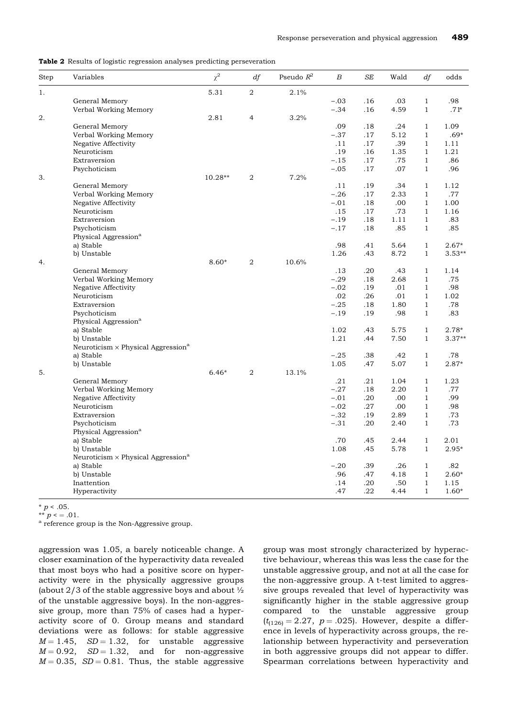|  |  |  |  |  |  | <b>Table 2</b> Results of logistic regression analyses predicting perseveration |
|--|--|--|--|--|--|---------------------------------------------------------------------------------|
|--|--|--|--|--|--|---------------------------------------------------------------------------------|

| $\overline{2}$<br>5.31<br>2.1%<br>1.<br>$-.03$<br>.03<br>$\mathbf{1}$<br>.98<br>General Memory<br>.16<br>$.71*$<br>Verbal Working Memory<br>$-.34$<br>.16<br>4.59<br>$\mathbf{1}$<br>2.81<br>$\overline{4}$<br>3.2%<br>2.<br>General Memory<br>.09<br>.24<br>$\mathbf{1}$<br>1.09<br>.18<br>$.69*$<br>Verbal Working Memory<br>$-.37$<br>.17<br>5.12<br>$\mathbf{1}$<br>.39<br>Negative Affectivity<br>.11<br>.17<br>$\mathbf{1}$<br>1.11<br>Neuroticism<br>.19<br>.16<br>1.35<br>$\mathbf{1}$<br>1.21<br>$-.15$<br>.17<br>.75<br>.86<br>Extraversion<br>$\mathbf{1}$<br>$-.05$<br>.17<br>.07<br>.96<br>Psychoticism<br>$\mathbf{1}$<br>10.28**<br>2<br>7.2%<br>3.<br>.19<br>.34<br>General Memory<br>.11<br>$\mathbf{1}$<br>1.12<br>.77<br>Verbal Working Memory<br>$-.26$<br>.17<br>2.33<br>$\mathbf{1}$<br>1.00<br>Negative Affectivity<br>$-.01$<br>.18<br>.00<br>$\mathbf{1}$<br>Neuroticism<br>.15<br>.17<br>.73<br>$\mathbf{1}$<br>1.16<br>$-.19$<br>$\,1$<br>.83<br>Extraversion<br>.18<br>1.11<br>$-.17$<br>.85<br>.85<br>Psychoticism<br>.18<br>$\mathbf{1}$<br>Physical Aggression <sup>a</sup><br>a) Stable<br>.98<br>.41<br>$\mathbf{1}$<br>$2.67*$<br>5.64<br>b) Unstable<br>8.72<br>$3.53**$<br>1.26<br>.43<br>$\mathbf{1}$<br>$8.60*$<br>2<br>10.6%<br>4.<br>.20<br>General Memory<br>.13<br>.43<br>$\mathbf{1}$<br>1.14<br>$-.29$<br>.75<br>Verbal Working Memory<br>.18<br>2.68<br>$\mathbf{1}$<br>.98<br>Negative Affectivity<br>$-.02$<br>.19<br>.01<br>$\mathbf{1}$<br>Neuroticism<br>.02<br>.26<br>.01<br>$\mathbf{1}$<br>1.02<br>$-.25$<br>1.80<br>.78<br>Extraversion<br>.18<br>$\mathbf{1}$<br>$-.19$<br>Psychoticism<br>.19<br>.98<br>$\mathbf{1}$<br>.83<br>Physical Aggression <sup>a</sup><br>5.75<br>$\mathbf{1}$<br>$2.78*$<br>a) Stable<br>1.02<br>.43<br>1.21<br>7.50<br>$\mathbf{1}$<br>$3.37**$<br>b) Unstable<br>.44<br>Neuroticism $\times$ Physical Aggression <sup>a</sup><br>a) Stable<br>$-.25$<br>.42<br>$\mathbf{1}$<br>.78<br>.38<br>$2.87*$<br>b) Unstable<br>1.05<br>.47<br>5.07<br>$\mathbf{1}$<br>5.<br>$6.46*$<br>2<br>13.1%<br>General Memory<br>.21<br>.21<br>1.04<br>$\mathbf{1}$<br>1.23<br>$-.27$<br>2.20<br>.77<br>Verbal Working Memory<br>.18<br>$\mathbf{1}$<br>$-.01$<br>.20<br>.00<br>.99<br>Negative Affectivity<br>$\mathbf{1}$<br>Neuroticism<br>$-.02$<br>.27<br>.00<br>$\mathbf{1}$<br>.98<br>$-.32$<br>.19<br>2.89<br>$\mathbf{1}$<br>.73<br>Extraversion<br>$-.31$<br>.20<br>2.40<br>.73<br>Psychoticism<br>$\mathbf{1}$<br>Physical Aggression <sup>a</sup><br>a) Stable<br>.70<br>.45<br>2.44<br>$\mathbf{1}$<br>2.01<br>$2.95*$<br>b) Unstable<br>1.08<br>.45<br>5.78<br>$\mathbf{1}$<br>Neuroticism $\times$ Physical Aggression <sup>a</sup><br>.82<br>a) Stable<br>$-.20$<br>.39<br>.26<br>$\mathbf{1}$<br>.96<br>.47<br>4.18<br>$\mathbf{1}$<br>$2.60*$<br>b) Unstable<br>.14<br>.20<br>.50<br>Inattention<br>$\mathbf{1}$<br>1.15<br>.47<br>.22<br>1.60*<br>4.44<br>$\mathbf{1}$<br>Hyperactivity | Step | Variables | $\chi^2$ | df | Pseudo $\mathbb{R}^2$ | $\boldsymbol{B}$ | $\cal SE$ | Wald | df | odds |
|------------------------------------------------------------------------------------------------------------------------------------------------------------------------------------------------------------------------------------------------------------------------------------------------------------------------------------------------------------------------------------------------------------------------------------------------------------------------------------------------------------------------------------------------------------------------------------------------------------------------------------------------------------------------------------------------------------------------------------------------------------------------------------------------------------------------------------------------------------------------------------------------------------------------------------------------------------------------------------------------------------------------------------------------------------------------------------------------------------------------------------------------------------------------------------------------------------------------------------------------------------------------------------------------------------------------------------------------------------------------------------------------------------------------------------------------------------------------------------------------------------------------------------------------------------------------------------------------------------------------------------------------------------------------------------------------------------------------------------------------------------------------------------------------------------------------------------------------------------------------------------------------------------------------------------------------------------------------------------------------------------------------------------------------------------------------------------------------------------------------------------------------------------------------------------------------------------------------------------------------------------------------------------------------------------------------------------------------------------------------------------------------------------------------------------------------------------------------------------------------------------------------------------------------------------------------------------------------------------------------------------------------------------------------------------------------------------------------------------------------------------------------------------------------------------------------------------------------------------------------------------------------------------------------------------------------------------------------------|------|-----------|----------|----|-----------------------|------------------|-----------|------|----|------|
|                                                                                                                                                                                                                                                                                                                                                                                                                                                                                                                                                                                                                                                                                                                                                                                                                                                                                                                                                                                                                                                                                                                                                                                                                                                                                                                                                                                                                                                                                                                                                                                                                                                                                                                                                                                                                                                                                                                                                                                                                                                                                                                                                                                                                                                                                                                                                                                                                                                                                                                                                                                                                                                                                                                                                                                                                                                                                                                                                                              |      |           |          |    |                       |                  |           |      |    |      |
|                                                                                                                                                                                                                                                                                                                                                                                                                                                                                                                                                                                                                                                                                                                                                                                                                                                                                                                                                                                                                                                                                                                                                                                                                                                                                                                                                                                                                                                                                                                                                                                                                                                                                                                                                                                                                                                                                                                                                                                                                                                                                                                                                                                                                                                                                                                                                                                                                                                                                                                                                                                                                                                                                                                                                                                                                                                                                                                                                                              |      |           |          |    |                       |                  |           |      |    |      |
|                                                                                                                                                                                                                                                                                                                                                                                                                                                                                                                                                                                                                                                                                                                                                                                                                                                                                                                                                                                                                                                                                                                                                                                                                                                                                                                                                                                                                                                                                                                                                                                                                                                                                                                                                                                                                                                                                                                                                                                                                                                                                                                                                                                                                                                                                                                                                                                                                                                                                                                                                                                                                                                                                                                                                                                                                                                                                                                                                                              |      |           |          |    |                       |                  |           |      |    |      |
|                                                                                                                                                                                                                                                                                                                                                                                                                                                                                                                                                                                                                                                                                                                                                                                                                                                                                                                                                                                                                                                                                                                                                                                                                                                                                                                                                                                                                                                                                                                                                                                                                                                                                                                                                                                                                                                                                                                                                                                                                                                                                                                                                                                                                                                                                                                                                                                                                                                                                                                                                                                                                                                                                                                                                                                                                                                                                                                                                                              |      |           |          |    |                       |                  |           |      |    |      |
|                                                                                                                                                                                                                                                                                                                                                                                                                                                                                                                                                                                                                                                                                                                                                                                                                                                                                                                                                                                                                                                                                                                                                                                                                                                                                                                                                                                                                                                                                                                                                                                                                                                                                                                                                                                                                                                                                                                                                                                                                                                                                                                                                                                                                                                                                                                                                                                                                                                                                                                                                                                                                                                                                                                                                                                                                                                                                                                                                                              |      |           |          |    |                       |                  |           |      |    |      |
|                                                                                                                                                                                                                                                                                                                                                                                                                                                                                                                                                                                                                                                                                                                                                                                                                                                                                                                                                                                                                                                                                                                                                                                                                                                                                                                                                                                                                                                                                                                                                                                                                                                                                                                                                                                                                                                                                                                                                                                                                                                                                                                                                                                                                                                                                                                                                                                                                                                                                                                                                                                                                                                                                                                                                                                                                                                                                                                                                                              |      |           |          |    |                       |                  |           |      |    |      |
|                                                                                                                                                                                                                                                                                                                                                                                                                                                                                                                                                                                                                                                                                                                                                                                                                                                                                                                                                                                                                                                                                                                                                                                                                                                                                                                                                                                                                                                                                                                                                                                                                                                                                                                                                                                                                                                                                                                                                                                                                                                                                                                                                                                                                                                                                                                                                                                                                                                                                                                                                                                                                                                                                                                                                                                                                                                                                                                                                                              |      |           |          |    |                       |                  |           |      |    |      |
|                                                                                                                                                                                                                                                                                                                                                                                                                                                                                                                                                                                                                                                                                                                                                                                                                                                                                                                                                                                                                                                                                                                                                                                                                                                                                                                                                                                                                                                                                                                                                                                                                                                                                                                                                                                                                                                                                                                                                                                                                                                                                                                                                                                                                                                                                                                                                                                                                                                                                                                                                                                                                                                                                                                                                                                                                                                                                                                                                                              |      |           |          |    |                       |                  |           |      |    |      |
|                                                                                                                                                                                                                                                                                                                                                                                                                                                                                                                                                                                                                                                                                                                                                                                                                                                                                                                                                                                                                                                                                                                                                                                                                                                                                                                                                                                                                                                                                                                                                                                                                                                                                                                                                                                                                                                                                                                                                                                                                                                                                                                                                                                                                                                                                                                                                                                                                                                                                                                                                                                                                                                                                                                                                                                                                                                                                                                                                                              |      |           |          |    |                       |                  |           |      |    |      |
|                                                                                                                                                                                                                                                                                                                                                                                                                                                                                                                                                                                                                                                                                                                                                                                                                                                                                                                                                                                                                                                                                                                                                                                                                                                                                                                                                                                                                                                                                                                                                                                                                                                                                                                                                                                                                                                                                                                                                                                                                                                                                                                                                                                                                                                                                                                                                                                                                                                                                                                                                                                                                                                                                                                                                                                                                                                                                                                                                                              |      |           |          |    |                       |                  |           |      |    |      |
|                                                                                                                                                                                                                                                                                                                                                                                                                                                                                                                                                                                                                                                                                                                                                                                                                                                                                                                                                                                                                                                                                                                                                                                                                                                                                                                                                                                                                                                                                                                                                                                                                                                                                                                                                                                                                                                                                                                                                                                                                                                                                                                                                                                                                                                                                                                                                                                                                                                                                                                                                                                                                                                                                                                                                                                                                                                                                                                                                                              |      |           |          |    |                       |                  |           |      |    |      |
|                                                                                                                                                                                                                                                                                                                                                                                                                                                                                                                                                                                                                                                                                                                                                                                                                                                                                                                                                                                                                                                                                                                                                                                                                                                                                                                                                                                                                                                                                                                                                                                                                                                                                                                                                                                                                                                                                                                                                                                                                                                                                                                                                                                                                                                                                                                                                                                                                                                                                                                                                                                                                                                                                                                                                                                                                                                                                                                                                                              |      |           |          |    |                       |                  |           |      |    |      |
|                                                                                                                                                                                                                                                                                                                                                                                                                                                                                                                                                                                                                                                                                                                                                                                                                                                                                                                                                                                                                                                                                                                                                                                                                                                                                                                                                                                                                                                                                                                                                                                                                                                                                                                                                                                                                                                                                                                                                                                                                                                                                                                                                                                                                                                                                                                                                                                                                                                                                                                                                                                                                                                                                                                                                                                                                                                                                                                                                                              |      |           |          |    |                       |                  |           |      |    |      |
|                                                                                                                                                                                                                                                                                                                                                                                                                                                                                                                                                                                                                                                                                                                                                                                                                                                                                                                                                                                                                                                                                                                                                                                                                                                                                                                                                                                                                                                                                                                                                                                                                                                                                                                                                                                                                                                                                                                                                                                                                                                                                                                                                                                                                                                                                                                                                                                                                                                                                                                                                                                                                                                                                                                                                                                                                                                                                                                                                                              |      |           |          |    |                       |                  |           |      |    |      |
|                                                                                                                                                                                                                                                                                                                                                                                                                                                                                                                                                                                                                                                                                                                                                                                                                                                                                                                                                                                                                                                                                                                                                                                                                                                                                                                                                                                                                                                                                                                                                                                                                                                                                                                                                                                                                                                                                                                                                                                                                                                                                                                                                                                                                                                                                                                                                                                                                                                                                                                                                                                                                                                                                                                                                                                                                                                                                                                                                                              |      |           |          |    |                       |                  |           |      |    |      |
|                                                                                                                                                                                                                                                                                                                                                                                                                                                                                                                                                                                                                                                                                                                                                                                                                                                                                                                                                                                                                                                                                                                                                                                                                                                                                                                                                                                                                                                                                                                                                                                                                                                                                                                                                                                                                                                                                                                                                                                                                                                                                                                                                                                                                                                                                                                                                                                                                                                                                                                                                                                                                                                                                                                                                                                                                                                                                                                                                                              |      |           |          |    |                       |                  |           |      |    |      |
|                                                                                                                                                                                                                                                                                                                                                                                                                                                                                                                                                                                                                                                                                                                                                                                                                                                                                                                                                                                                                                                                                                                                                                                                                                                                                                                                                                                                                                                                                                                                                                                                                                                                                                                                                                                                                                                                                                                                                                                                                                                                                                                                                                                                                                                                                                                                                                                                                                                                                                                                                                                                                                                                                                                                                                                                                                                                                                                                                                              |      |           |          |    |                       |                  |           |      |    |      |
|                                                                                                                                                                                                                                                                                                                                                                                                                                                                                                                                                                                                                                                                                                                                                                                                                                                                                                                                                                                                                                                                                                                                                                                                                                                                                                                                                                                                                                                                                                                                                                                                                                                                                                                                                                                                                                                                                                                                                                                                                                                                                                                                                                                                                                                                                                                                                                                                                                                                                                                                                                                                                                                                                                                                                                                                                                                                                                                                                                              |      |           |          |    |                       |                  |           |      |    |      |
|                                                                                                                                                                                                                                                                                                                                                                                                                                                                                                                                                                                                                                                                                                                                                                                                                                                                                                                                                                                                                                                                                                                                                                                                                                                                                                                                                                                                                                                                                                                                                                                                                                                                                                                                                                                                                                                                                                                                                                                                                                                                                                                                                                                                                                                                                                                                                                                                                                                                                                                                                                                                                                                                                                                                                                                                                                                                                                                                                                              |      |           |          |    |                       |                  |           |      |    |      |
|                                                                                                                                                                                                                                                                                                                                                                                                                                                                                                                                                                                                                                                                                                                                                                                                                                                                                                                                                                                                                                                                                                                                                                                                                                                                                                                                                                                                                                                                                                                                                                                                                                                                                                                                                                                                                                                                                                                                                                                                                                                                                                                                                                                                                                                                                                                                                                                                                                                                                                                                                                                                                                                                                                                                                                                                                                                                                                                                                                              |      |           |          |    |                       |                  |           |      |    |      |
|                                                                                                                                                                                                                                                                                                                                                                                                                                                                                                                                                                                                                                                                                                                                                                                                                                                                                                                                                                                                                                                                                                                                                                                                                                                                                                                                                                                                                                                                                                                                                                                                                                                                                                                                                                                                                                                                                                                                                                                                                                                                                                                                                                                                                                                                                                                                                                                                                                                                                                                                                                                                                                                                                                                                                                                                                                                                                                                                                                              |      |           |          |    |                       |                  |           |      |    |      |
|                                                                                                                                                                                                                                                                                                                                                                                                                                                                                                                                                                                                                                                                                                                                                                                                                                                                                                                                                                                                                                                                                                                                                                                                                                                                                                                                                                                                                                                                                                                                                                                                                                                                                                                                                                                                                                                                                                                                                                                                                                                                                                                                                                                                                                                                                                                                                                                                                                                                                                                                                                                                                                                                                                                                                                                                                                                                                                                                                                              |      |           |          |    |                       |                  |           |      |    |      |
|                                                                                                                                                                                                                                                                                                                                                                                                                                                                                                                                                                                                                                                                                                                                                                                                                                                                                                                                                                                                                                                                                                                                                                                                                                                                                                                                                                                                                                                                                                                                                                                                                                                                                                                                                                                                                                                                                                                                                                                                                                                                                                                                                                                                                                                                                                                                                                                                                                                                                                                                                                                                                                                                                                                                                                                                                                                                                                                                                                              |      |           |          |    |                       |                  |           |      |    |      |
|                                                                                                                                                                                                                                                                                                                                                                                                                                                                                                                                                                                                                                                                                                                                                                                                                                                                                                                                                                                                                                                                                                                                                                                                                                                                                                                                                                                                                                                                                                                                                                                                                                                                                                                                                                                                                                                                                                                                                                                                                                                                                                                                                                                                                                                                                                                                                                                                                                                                                                                                                                                                                                                                                                                                                                                                                                                                                                                                                                              |      |           |          |    |                       |                  |           |      |    |      |
|                                                                                                                                                                                                                                                                                                                                                                                                                                                                                                                                                                                                                                                                                                                                                                                                                                                                                                                                                                                                                                                                                                                                                                                                                                                                                                                                                                                                                                                                                                                                                                                                                                                                                                                                                                                                                                                                                                                                                                                                                                                                                                                                                                                                                                                                                                                                                                                                                                                                                                                                                                                                                                                                                                                                                                                                                                                                                                                                                                              |      |           |          |    |                       |                  |           |      |    |      |
|                                                                                                                                                                                                                                                                                                                                                                                                                                                                                                                                                                                                                                                                                                                                                                                                                                                                                                                                                                                                                                                                                                                                                                                                                                                                                                                                                                                                                                                                                                                                                                                                                                                                                                                                                                                                                                                                                                                                                                                                                                                                                                                                                                                                                                                                                                                                                                                                                                                                                                                                                                                                                                                                                                                                                                                                                                                                                                                                                                              |      |           |          |    |                       |                  |           |      |    |      |
|                                                                                                                                                                                                                                                                                                                                                                                                                                                                                                                                                                                                                                                                                                                                                                                                                                                                                                                                                                                                                                                                                                                                                                                                                                                                                                                                                                                                                                                                                                                                                                                                                                                                                                                                                                                                                                                                                                                                                                                                                                                                                                                                                                                                                                                                                                                                                                                                                                                                                                                                                                                                                                                                                                                                                                                                                                                                                                                                                                              |      |           |          |    |                       |                  |           |      |    |      |
|                                                                                                                                                                                                                                                                                                                                                                                                                                                                                                                                                                                                                                                                                                                                                                                                                                                                                                                                                                                                                                                                                                                                                                                                                                                                                                                                                                                                                                                                                                                                                                                                                                                                                                                                                                                                                                                                                                                                                                                                                                                                                                                                                                                                                                                                                                                                                                                                                                                                                                                                                                                                                                                                                                                                                                                                                                                                                                                                                                              |      |           |          |    |                       |                  |           |      |    |      |
|                                                                                                                                                                                                                                                                                                                                                                                                                                                                                                                                                                                                                                                                                                                                                                                                                                                                                                                                                                                                                                                                                                                                                                                                                                                                                                                                                                                                                                                                                                                                                                                                                                                                                                                                                                                                                                                                                                                                                                                                                                                                                                                                                                                                                                                                                                                                                                                                                                                                                                                                                                                                                                                                                                                                                                                                                                                                                                                                                                              |      |           |          |    |                       |                  |           |      |    |      |
|                                                                                                                                                                                                                                                                                                                                                                                                                                                                                                                                                                                                                                                                                                                                                                                                                                                                                                                                                                                                                                                                                                                                                                                                                                                                                                                                                                                                                                                                                                                                                                                                                                                                                                                                                                                                                                                                                                                                                                                                                                                                                                                                                                                                                                                                                                                                                                                                                                                                                                                                                                                                                                                                                                                                                                                                                                                                                                                                                                              |      |           |          |    |                       |                  |           |      |    |      |
|                                                                                                                                                                                                                                                                                                                                                                                                                                                                                                                                                                                                                                                                                                                                                                                                                                                                                                                                                                                                                                                                                                                                                                                                                                                                                                                                                                                                                                                                                                                                                                                                                                                                                                                                                                                                                                                                                                                                                                                                                                                                                                                                                                                                                                                                                                                                                                                                                                                                                                                                                                                                                                                                                                                                                                                                                                                                                                                                                                              |      |           |          |    |                       |                  |           |      |    |      |
|                                                                                                                                                                                                                                                                                                                                                                                                                                                                                                                                                                                                                                                                                                                                                                                                                                                                                                                                                                                                                                                                                                                                                                                                                                                                                                                                                                                                                                                                                                                                                                                                                                                                                                                                                                                                                                                                                                                                                                                                                                                                                                                                                                                                                                                                                                                                                                                                                                                                                                                                                                                                                                                                                                                                                                                                                                                                                                                                                                              |      |           |          |    |                       |                  |           |      |    |      |
|                                                                                                                                                                                                                                                                                                                                                                                                                                                                                                                                                                                                                                                                                                                                                                                                                                                                                                                                                                                                                                                                                                                                                                                                                                                                                                                                                                                                                                                                                                                                                                                                                                                                                                                                                                                                                                                                                                                                                                                                                                                                                                                                                                                                                                                                                                                                                                                                                                                                                                                                                                                                                                                                                                                                                                                                                                                                                                                                                                              |      |           |          |    |                       |                  |           |      |    |      |
|                                                                                                                                                                                                                                                                                                                                                                                                                                                                                                                                                                                                                                                                                                                                                                                                                                                                                                                                                                                                                                                                                                                                                                                                                                                                                                                                                                                                                                                                                                                                                                                                                                                                                                                                                                                                                                                                                                                                                                                                                                                                                                                                                                                                                                                                                                                                                                                                                                                                                                                                                                                                                                                                                                                                                                                                                                                                                                                                                                              |      |           |          |    |                       |                  |           |      |    |      |
|                                                                                                                                                                                                                                                                                                                                                                                                                                                                                                                                                                                                                                                                                                                                                                                                                                                                                                                                                                                                                                                                                                                                                                                                                                                                                                                                                                                                                                                                                                                                                                                                                                                                                                                                                                                                                                                                                                                                                                                                                                                                                                                                                                                                                                                                                                                                                                                                                                                                                                                                                                                                                                                                                                                                                                                                                                                                                                                                                                              |      |           |          |    |                       |                  |           |      |    |      |
|                                                                                                                                                                                                                                                                                                                                                                                                                                                                                                                                                                                                                                                                                                                                                                                                                                                                                                                                                                                                                                                                                                                                                                                                                                                                                                                                                                                                                                                                                                                                                                                                                                                                                                                                                                                                                                                                                                                                                                                                                                                                                                                                                                                                                                                                                                                                                                                                                                                                                                                                                                                                                                                                                                                                                                                                                                                                                                                                                                              |      |           |          |    |                       |                  |           |      |    |      |
|                                                                                                                                                                                                                                                                                                                                                                                                                                                                                                                                                                                                                                                                                                                                                                                                                                                                                                                                                                                                                                                                                                                                                                                                                                                                                                                                                                                                                                                                                                                                                                                                                                                                                                                                                                                                                                                                                                                                                                                                                                                                                                                                                                                                                                                                                                                                                                                                                                                                                                                                                                                                                                                                                                                                                                                                                                                                                                                                                                              |      |           |          |    |                       |                  |           |      |    |      |
|                                                                                                                                                                                                                                                                                                                                                                                                                                                                                                                                                                                                                                                                                                                                                                                                                                                                                                                                                                                                                                                                                                                                                                                                                                                                                                                                                                                                                                                                                                                                                                                                                                                                                                                                                                                                                                                                                                                                                                                                                                                                                                                                                                                                                                                                                                                                                                                                                                                                                                                                                                                                                                                                                                                                                                                                                                                                                                                                                                              |      |           |          |    |                       |                  |           |      |    |      |
|                                                                                                                                                                                                                                                                                                                                                                                                                                                                                                                                                                                                                                                                                                                                                                                                                                                                                                                                                                                                                                                                                                                                                                                                                                                                                                                                                                                                                                                                                                                                                                                                                                                                                                                                                                                                                                                                                                                                                                                                                                                                                                                                                                                                                                                                                                                                                                                                                                                                                                                                                                                                                                                                                                                                                                                                                                                                                                                                                                              |      |           |          |    |                       |                  |           |      |    |      |
|                                                                                                                                                                                                                                                                                                                                                                                                                                                                                                                                                                                                                                                                                                                                                                                                                                                                                                                                                                                                                                                                                                                                                                                                                                                                                                                                                                                                                                                                                                                                                                                                                                                                                                                                                                                                                                                                                                                                                                                                                                                                                                                                                                                                                                                                                                                                                                                                                                                                                                                                                                                                                                                                                                                                                                                                                                                                                                                                                                              |      |           |          |    |                       |                  |           |      |    |      |
|                                                                                                                                                                                                                                                                                                                                                                                                                                                                                                                                                                                                                                                                                                                                                                                                                                                                                                                                                                                                                                                                                                                                                                                                                                                                                                                                                                                                                                                                                                                                                                                                                                                                                                                                                                                                                                                                                                                                                                                                                                                                                                                                                                                                                                                                                                                                                                                                                                                                                                                                                                                                                                                                                                                                                                                                                                                                                                                                                                              |      |           |          |    |                       |                  |           |      |    |      |
|                                                                                                                                                                                                                                                                                                                                                                                                                                                                                                                                                                                                                                                                                                                                                                                                                                                                                                                                                                                                                                                                                                                                                                                                                                                                                                                                                                                                                                                                                                                                                                                                                                                                                                                                                                                                                                                                                                                                                                                                                                                                                                                                                                                                                                                                                                                                                                                                                                                                                                                                                                                                                                                                                                                                                                                                                                                                                                                                                                              |      |           |          |    |                       |                  |           |      |    |      |
|                                                                                                                                                                                                                                                                                                                                                                                                                                                                                                                                                                                                                                                                                                                                                                                                                                                                                                                                                                                                                                                                                                                                                                                                                                                                                                                                                                                                                                                                                                                                                                                                                                                                                                                                                                                                                                                                                                                                                                                                                                                                                                                                                                                                                                                                                                                                                                                                                                                                                                                                                                                                                                                                                                                                                                                                                                                                                                                                                                              |      |           |          |    |                       |                  |           |      |    |      |
|                                                                                                                                                                                                                                                                                                                                                                                                                                                                                                                                                                                                                                                                                                                                                                                                                                                                                                                                                                                                                                                                                                                                                                                                                                                                                                                                                                                                                                                                                                                                                                                                                                                                                                                                                                                                                                                                                                                                                                                                                                                                                                                                                                                                                                                                                                                                                                                                                                                                                                                                                                                                                                                                                                                                                                                                                                                                                                                                                                              |      |           |          |    |                       |                  |           |      |    |      |
|                                                                                                                                                                                                                                                                                                                                                                                                                                                                                                                                                                                                                                                                                                                                                                                                                                                                                                                                                                                                                                                                                                                                                                                                                                                                                                                                                                                                                                                                                                                                                                                                                                                                                                                                                                                                                                                                                                                                                                                                                                                                                                                                                                                                                                                                                                                                                                                                                                                                                                                                                                                                                                                                                                                                                                                                                                                                                                                                                                              |      |           |          |    |                       |                  |           |      |    |      |
|                                                                                                                                                                                                                                                                                                                                                                                                                                                                                                                                                                                                                                                                                                                                                                                                                                                                                                                                                                                                                                                                                                                                                                                                                                                                                                                                                                                                                                                                                                                                                                                                                                                                                                                                                                                                                                                                                                                                                                                                                                                                                                                                                                                                                                                                                                                                                                                                                                                                                                                                                                                                                                                                                                                                                                                                                                                                                                                                                                              |      |           |          |    |                       |                  |           |      |    |      |
|                                                                                                                                                                                                                                                                                                                                                                                                                                                                                                                                                                                                                                                                                                                                                                                                                                                                                                                                                                                                                                                                                                                                                                                                                                                                                                                                                                                                                                                                                                                                                                                                                                                                                                                                                                                                                                                                                                                                                                                                                                                                                                                                                                                                                                                                                                                                                                                                                                                                                                                                                                                                                                                                                                                                                                                                                                                                                                                                                                              |      |           |          |    |                       |                  |           |      |    |      |
|                                                                                                                                                                                                                                                                                                                                                                                                                                                                                                                                                                                                                                                                                                                                                                                                                                                                                                                                                                                                                                                                                                                                                                                                                                                                                                                                                                                                                                                                                                                                                                                                                                                                                                                                                                                                                                                                                                                                                                                                                                                                                                                                                                                                                                                                                                                                                                                                                                                                                                                                                                                                                                                                                                                                                                                                                                                                                                                                                                              |      |           |          |    |                       |                  |           |      |    |      |

\*  $p < .05$ .<br>\*\*  $p < .01$ .

 $^{\rm a}$  reference group is the Non-Aggressive group.

aggression was 1.05, a barely noticeable change. A closer examination of the hyperactivity data revealed that most boys who had a positive score on hyperactivity were in the physically aggressive groups (about  $2/3$  of the stable aggressive boys and about  $\frac{1}{2}$ of the unstable aggressive boys). In the non-aggressive group, more than 75% of cases had a hyperactivity score of 0. Group means and standard deviations were as follows: for stable aggressive  $M = 1.45$ ,  $SD = 1.32$ , for unstable aggressive  $M = 0.92$ ,  $SD = 1.32$ , and for non-aggressive  $M = 0.35$ ,  $SD = 0.81$ . Thus, the stable aggressive

group was most strongly characterized by hyperactive behaviour, whereas this was less the case for the unstable aggressive group, and not at all the case for the non-aggressive group. A t-test limited to aggressive groups revealed that level of hyperactivity was significantly higher in the stable aggressive group compared to the unstable aggressive group  $(t_{126}) = 2.27$ ,  $p = .025$ . However, despite a difference in levels of hyperactivity across groups, the relationship between hyperactivity and perseveration in both aggressive groups did not appear to differ. Spearman correlations between hyperactivity and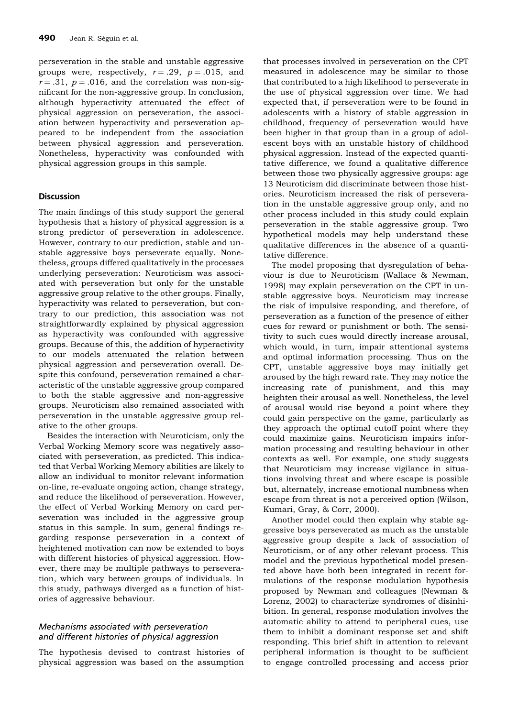perseveration in the stable and unstable aggressive groups were, respectively,  $r = .29$ ,  $p = .015$ , and  $r = .31$ ,  $p = .016$ , and the correlation was non-significant for the non-aggressive group. In conclusion, although hyperactivity attenuated the effect of physical aggression on perseveration, the association between hyperactivity and perseveration appeared to be independent from the association between physical aggression and perseveration. Nonetheless, hyperactivity was confounded with physical aggression groups in this sample.

#### **Discussion**

The main findings of this study support the general hypothesis that a history of physical aggression is a strong predictor of perseveration in adolescence. However, contrary to our prediction, stable and unstable aggressive boys perseverate equally. Nonetheless, groups differed qualitatively in the processes underlying perseveration: Neuroticism was associated with perseveration but only for the unstable aggressive group relative to the other groups. Finally, hyperactivity was related to perseveration, but contrary to our prediction, this association was not straightforwardly explained by physical aggression as hyperactivity was confounded with aggressive groups. Because of this, the addition of hyperactivity to our models attenuated the relation between physical aggression and perseveration overall. Despite this confound, perseveration remained a characteristic of the unstable aggressive group compared to both the stable aggressive and non-aggressive groups. Neuroticism also remained associated with perseveration in the unstable aggressive group relative to the other groups.

Besides the interaction with Neuroticism, only the Verbal Working Memory score was negatively associated with perseveration, as predicted. This indicated that Verbal Working Memory abilities are likely to allow an individual to monitor relevant information on-line, re-evaluate ongoing action, change strategy, and reduce the likelihood of perseveration. However, the effect of Verbal Working Memory on card perseveration was included in the aggressive group status in this sample. In sum, general findings regarding response perseveration in a context of heightened motivation can now be extended to boys with different histories of physical aggression. However, there may be multiple pathways to perseveration, which vary between groups of individuals. In this study, pathways diverged as a function of histories of aggressive behaviour.

#### Mechanisms associated with perseveration and different histories of physical aggression

The hypothesis devised to contrast histories of physical aggression was based on the assumption

that processes involved in perseveration on the CPT measured in adolescence may be similar to those that contributed to a high likelihood to perseverate in the use of physical aggression over time. We had expected that, if perseveration were to be found in adolescents with a history of stable aggression in childhood, frequency of perseveration would have been higher in that group than in a group of adolescent boys with an unstable history of childhood physical aggression. Instead of the expected quantitative difference, we found a qualitative difference between those two physically aggressive groups: age 13 Neuroticism did discriminate between those histories. Neuroticism increased the risk of perseveration in the unstable aggressive group only, and no other process included in this study could explain perseveration in the stable aggressive group. Two hypothetical models may help understand these qualitative differences in the absence of a quantitative difference.

The model proposing that dysregulation of behaviour is due to Neuroticism (Wallace & Newman, 1998) may explain perseveration on the CPT in unstable aggressive boys. Neuroticism may increase the risk of impulsive responding, and therefore, of perseveration as a function of the presence of either cues for reward or punishment or both. The sensitivity to such cues would directly increase arousal, which would, in turn, impair attentional systems and optimal information processing. Thus on the CPT, unstable aggressive boys may initially get aroused by the high reward rate. They may notice the increasing rate of punishment, and this may heighten their arousal as well. Nonetheless, the level of arousal would rise beyond a point where they could gain perspective on the game, particularly as they approach the optimal cutoff point where they could maximize gains. Neuroticism impairs information processing and resulting behaviour in other contexts as well. For example, one study suggests that Neuroticism may increase vigilance in situations involving threat and where escape is possible but, alternately, increase emotional numbness when escape from threat is not a perceived option (Wilson, Kumari, Gray, & Corr, 2000).

Another model could then explain why stable aggressive boys perseverated as much as the unstable aggressive group despite a lack of association of Neuroticism, or of any other relevant process. This model and the previous hypothetical model presented above have both been integrated in recent formulations of the response modulation hypothesis proposed by Newman and colleagues (Newman & Lorenz, 2002) to characterize syndromes of disinhibition. In general, response modulation involves the automatic ability to attend to peripheral cues, use them to inhibit a dominant response set and shift responding. This brief shift in attention to relevant peripheral information is thought to be sufficient to engage controlled processing and access prior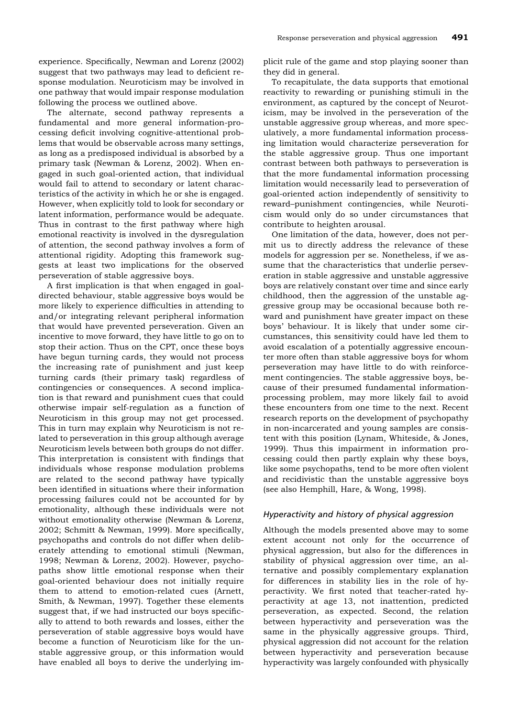experience. Specifically, Newman and Lorenz (2002) suggest that two pathways may lead to deficient response modulation. Neuroticism may be involved in one pathway that would impair response modulation following the process we outlined above.

The alternate, second pathway represents a fundamental and more general information-processing deficit involving cognitive-attentional problems that would be observable across many settings, as long as a predisposed individual is absorbed by a primary task (Newman & Lorenz, 2002). When engaged in such goal-oriented action, that individual would fail to attend to secondary or latent characteristics of the activity in which he or she is engaged. However, when explicitly told to look for secondary or latent information, performance would be adequate. Thus in contrast to the first pathway where high emotional reactivity is involved in the dysregulation of attention, the second pathway involves a form of attentional rigidity. Adopting this framework suggests at least two implications for the observed perseveration of stable aggressive boys.

A first implication is that when engaged in goaldirected behaviour, stable aggressive boys would be more likely to experience difficulties in attending to and/or integrating relevant peripheral information that would have prevented perseveration. Given an incentive to move forward, they have little to go on to stop their action. Thus on the CPT, once these boys have begun turning cards, they would not process the increasing rate of punishment and just keep turning cards (their primary task) regardless of contingencies or consequences. A second implication is that reward and punishment cues that could otherwise impair self-regulation as a function of Neuroticism in this group may not get processed. This in turn may explain why Neuroticism is not related to perseveration in this group although average Neuroticism levels between both groups do not differ. This interpretation is consistent with findings that individuals whose response modulation problems are related to the second pathway have typically been identified in situations where their information processing failures could not be accounted for by emotionality, although these individuals were not without emotionality otherwise (Newman & Lorenz, 2002; Schmitt & Newman, 1999). More specifically, psychopaths and controls do not differ when deliberately attending to emotional stimuli (Newman, 1998; Newman & Lorenz, 2002). However, psychopaths show little emotional response when their goal-oriented behaviour does not initially require them to attend to emotion-related cues (Arnett, Smith, & Newman, 1997). Together these elements suggest that, if we had instructed our boys specifically to attend to both rewards and losses, either the perseveration of stable aggressive boys would have become a function of Neuroticism like for the unstable aggressive group, or this information would have enabled all boys to derive the underlying implicit rule of the game and stop playing sooner than they did in general.

To recapitulate, the data supports that emotional reactivity to rewarding or punishing stimuli in the environment, as captured by the concept of Neuroticism, may be involved in the perseveration of the unstable aggressive group whereas, and more speculatively, a more fundamental information processing limitation would characterize perseveration for the stable aggressive group. Thus one important contrast between both pathways to perseveration is that the more fundamental information processing limitation would necessarily lead to perseveration of goal-oriented action independently of sensitivity to reward–punishment contingencies, while Neuroticism would only do so under circumstances that contribute to heighten arousal.

One limitation of the data, however, does not permit us to directly address the relevance of these models for aggression per se. Nonetheless, if we assume that the characteristics that underlie perseveration in stable aggressive and unstable aggressive boys are relatively constant over time and since early childhood, then the aggression of the unstable aggressive group may be occasional because both reward and punishment have greater impact on these boys' behaviour. It is likely that under some circumstances, this sensitivity could have led them to avoid escalation of a potentially aggressive encounter more often than stable aggressive boys for whom perseveration may have little to do with reinforcement contingencies. The stable aggressive boys, because of their presumed fundamental informationprocessing problem, may more likely fail to avoid these encounters from one time to the next. Recent research reports on the development of psychopathy in non-incarcerated and young samples are consistent with this position (Lynam, Whiteside, & Jones, 1999). Thus this impairment in information processing could then partly explain why these boys, like some psychopaths, tend to be more often violent and recidivistic than the unstable aggressive boys (see also Hemphill, Hare, & Wong, 1998).

#### Hyperactivity and history of physical aggression

Although the models presented above may to some extent account not only for the occurrence of physical aggression, but also for the differences in stability of physical aggression over time, an alternative and possibly complementary explanation for differences in stability lies in the role of hyperactivity. We first noted that teacher-rated hyperactivity at age 13, not inattention, predicted perseveration, as expected. Second, the relation between hyperactivity and perseveration was the same in the physically aggressive groups. Third, physical aggression did not account for the relation between hyperactivity and perseveration because hyperactivity was largely confounded with physically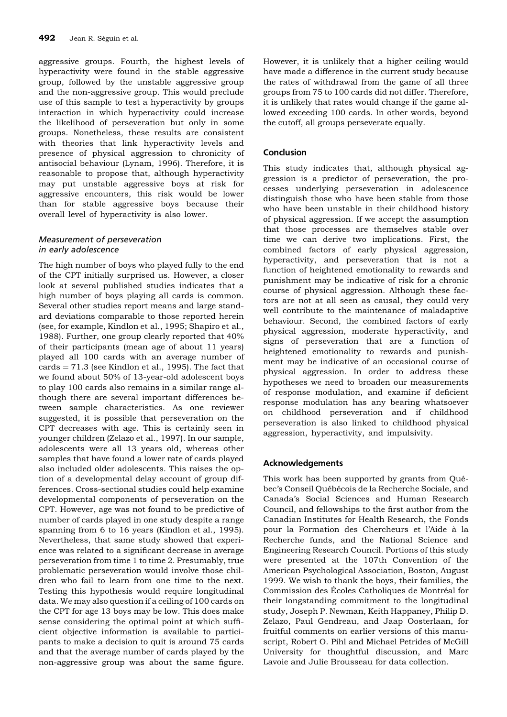aggressive groups. Fourth, the highest levels of hyperactivity were found in the stable aggressive group, followed by the unstable aggressive group and the non-aggressive group. This would preclude use of this sample to test a hyperactivity by groups interaction in which hyperactivity could increase the likelihood of perseveration but only in some groups. Nonetheless, these results are consistent with theories that link hyperactivity levels and presence of physical aggression to chronicity of antisocial behaviour (Lynam, 1996). Therefore, it is reasonable to propose that, although hyperactivity may put unstable aggressive boys at risk for aggressive encounters, this risk would be lower than for stable aggressive boys because their overall level of hyperactivity is also lower.

# Measurement of perseveration in early adolescence

The high number of boys who played fully to the end of the CPT initially surprised us. However, a closer look at several published studies indicates that a high number of boys playing all cards is common. Several other studies report means and large standard deviations comparable to those reported herein (see, for example, Kindlon et al., 1995; Shapiro et al., 1988). Further, one group clearly reported that 40% of their participants (mean age of about 11 years) played all 100 cards with an average number of cards  $= 71.3$  (see Kindlon et al., 1995). The fact that we found about 50% of 13-year-old adolescent boys to play 100 cards also remains in a similar range although there are several important differences between sample characteristics. As one reviewer suggested, it is possible that perseveration on the CPT decreases with age. This is certainly seen in younger children (Zelazo et al., 1997). In our sample, adolescents were all 13 years old, whereas other samples that have found a lower rate of cards played also included older adolescents. This raises the option of a developmental delay account of group differences. Cross-sectional studies could help examine developmental components of perseveration on the CPT. However, age was not found to be predictive of number of cards played in one study despite a range spanning from 6 to 16 years (Kindlon et al., 1995). Nevertheless, that same study showed that experience was related to a significant decrease in average perseveration from time 1 to time 2. Presumably, true problematic perseveration would involve those children who fail to learn from one time to the next. Testing this hypothesis would require longitudinal data. We may also question if a ceiling of 100 cards on the CPT for age 13 boys may be low. This does make sense considering the optimal point at which sufficient objective information is available to participants to make a decision to quit is around 75 cards and that the average number of cards played by the non-aggressive group was about the same figure.

However, it is unlikely that a higher ceiling would have made a difference in the current study because the rates of withdrawal from the game of all three groups from 75 to 100 cards did not differ. Therefore, it is unlikely that rates would change if the game allowed exceeding 100 cards. In other words, beyond the cutoff, all groups perseverate equally.

## **Conclusion**

This study indicates that, although physical aggression is a predictor of perseveration, the processes underlying perseveration in adolescence distinguish those who have been stable from those who have been unstable in their childhood history of physical aggression. If we accept the assumption that those processes are themselves stable over time we can derive two implications. First, the combined factors of early physical aggression, hyperactivity, and perseveration that is not a function of heightened emotionality to rewards and punishment may be indicative of risk for a chronic course of physical aggression. Although these factors are not at all seen as causal, they could very well contribute to the maintenance of maladaptive behaviour. Second, the combined factors of early physical aggression, moderate hyperactivity, and signs of perseveration that are a function of heightened emotionality to rewards and punishment may be indicative of an occasional course of physical aggression. In order to address these hypotheses we need to broaden our measurements of response modulation, and examine if deficient response modulation has any bearing whatsoever on childhood perseveration and if childhood perseveration is also linked to childhood physical aggression, hyperactivity, and impulsivity.

#### Acknowledgements

This work has been supported by grants from Québec's Conseil Québécois de la Recherche Sociale, and Canada's Social Sciences and Human Research Council, and fellowships to the first author from the Canadian Institutes for Health Research, the Fonds pour la Formation des Chercheurs et l'Aide a` la Recherche funds, and the National Science and Engineering Research Council. Portions of this study were presented at the 107th Convention of the American Psychological Association, Boston, August 1999. We wish to thank the boys, their families, the Commission des Écoles Catholiques de Montréal for their longstanding commitment to the longitudinal study, Joseph P. Newman, Keith Happaney, Philip D. Zelazo, Paul Gendreau, and Jaap Oosterlaan, for fruitful comments on earlier versions of this manuscript, Robert O. Pihl and Michael Petrides of McGill University for thoughtful discussion, and Marc Lavoie and Julie Brousseau for data collection.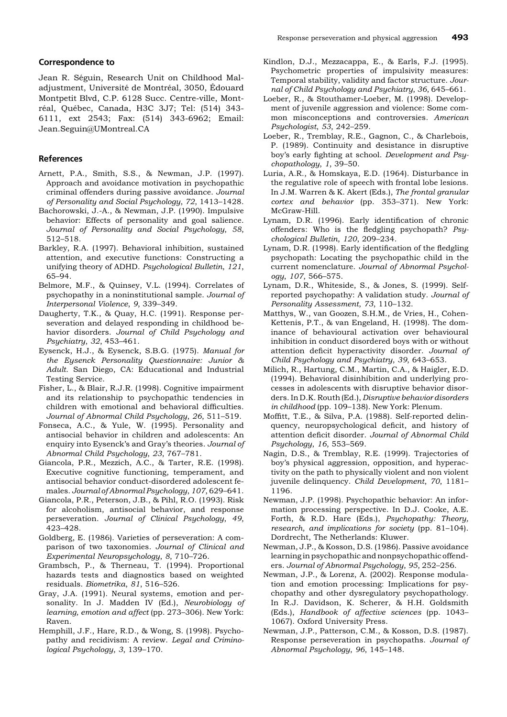#### Correspondence to

Jean R. Séguin, Research Unit on Childhood Maladjustment, Université de Montréal, 3050, Édouard Montpetit Blvd, C.P. 6128 Succ. Centre-ville, Montréal, Québec, Canada, H3C 3J7; Tel: (514) 343-6111, ext 2543; Fax: (514) 343-6962; Email: Jean.Seguin@UMontreal.CA

### References

- Arnett, P.A., Smith, S.S., & Newman, J.P. (1997). Approach and avoidance motivation in psychopathic criminal offenders during passive avoidance. Journal of Personality and Social Psychology, 72, 1413–1428.
- Bachorowski, J.-A., & Newman, J.P. (1990). Impulsive behavior: Effects of personality and goal salience. Journal of Personality and Social Psychology, 58, 512–518.
- Barkley, R.A. (1997). Behavioral inhibition, sustained attention, and executive functions: Constructing a unifying theory of ADHD. Psychological Bulletin, 121, 65–94.
- Belmore, M.F., & Quinsey, V.L. (1994). Correlates of psychopathy in a noninstitutional sample. Journal of Interpersonal Violence, 9, 339–349.
- Daugherty, T.K., & Quay, H.C. (1991). Response perseveration and delayed responding in childhood behavior disorders. Journal of Child Psychology and Psychiatry, 32, 453–461.
- Eysenck, H.J., & Eysenck, S.B.G. (1975). Manual for the Eysenck Personality Questionnaire: Junior & Adult. San Diego, CA: Educational and Industrial Testing Service.
- Fisher, L., & Blair, R.J.R. (1998). Cognitive impairment and its relationship to psychopathic tendencies in children with emotional and behavioral difficulties. Journal of Abnormal Child Psychology, 26, 511–519.
- Fonseca, A.C., & Yule, W. (1995). Personality and antisocial behavior in children and adolescents: An enquiry into Eysenck's and Gray's theories. Journal of Abnormal Child Psychology, 23, 767–781.
- Giancola, P.R., Mezzich, A.C., & Tarter, R.E. (1998). Executive cognitive functioning, temperament, and antisocial behavior conduct-disordered adolescent females. Journal of Abnormal Psychology, 107, 629–641.
- Giancola, P.R., Peterson, J.B., & Pihl, R.O. (1993). Risk for alcoholism, antisocial behavior, and response perseveration. Journal of Clinical Psychology, 49, 423–428.
- Goldberg, E. (1986). Varieties of perseveration: A comparison of two taxonomies. Journal of Clinical and Experimental Neuropsychology, 8, 710–726.
- Grambsch, P., & Therneau, T. (1994). Proportional hazards tests and diagnostics based on weighted residuals. Biometrika, 81, 516–526.
- Gray, J.A. (1991). Neural systems, emotion and personality. In J. Madden IV (Ed.), Neurobiology of learning, emotion and affect (pp. 273–306). New York: Raven.
- Hemphill, J.F., Hare, R.D., & Wong, S. (1998). Psychopathy and recidivism: A review. Legal and Criminological Psychology, 3, 139–170.
- Kindlon, D.J., Mezzacappa, E., & Earls, F.J. (1995). Psychometric properties of impulsivity measures: Temporal stability, validity and factor structure. Journal of Child Psychology and Psychiatry, 36, 645–661.
- Loeber, R., & Stouthamer-Loeber, M. (1998). Development of juvenile aggression and violence: Some common misconceptions and controversies. American Psychologist, 53, 242–259.
- Loeber, R., Tremblay, R.E., Gagnon, C., & Charlebois, P. (1989). Continuity and desistance in disruptive boy's early fighting at school. Development and Psychopathology, 1, 39–50.
- Luria, A.R., & Homskaya, E.D. (1964). Disturbance in the regulative role of speech with frontal lobe lesions. In J.M. Warren & K. Akert (Eds.), The frontal granular cortex and behavior (pp. 353–371). New York: McGraw-Hill.
- Lynam, D.R. (1996). Early identification of chronic offenders: Who is the fledgling psychopath? Psychological Bulletin, 120, 209–234.
- Lynam, D.R. (1998). Early identification of the fledgling psychopath: Locating the psychopathic child in the current nomenclature. Journal of Abnormal Psychology, 107, 566–575.
- Lynam, D.R., Whiteside, S., & Jones, S. (1999). Selfreported psychopathy: A validation study. Journal of Personality Assessment, 73, 110–132.
- Matthys, W., van Goozen, S.H.M., de Vries, H., Cohen-Kettenis, P.T., & van Engeland, H. (1998). The dominance of behavioural activation over behavioural inhibition in conduct disordered boys with or without attention deficit hyperactivity disorder. Journal of Child Psychology and Psychiatry, 39, 643–653.
- Milich, R., Hartung, C.M., Martin, C.A., & Haigler, E.D. (1994). Behavioral disinhibition and underlying processes in adolescents with disruptive behavior disorders. In D.K. Routh (Ed.), Disruptive behavior disorders in childhood (pp. 109–138). New York: Plenum.
- Moffitt, T.E., & Silva, P.A. (1988). Self-reported delinquency, neuropsychological deficit, and history of attention deficit disorder. Journal of Abnormal Child Psychology, 16, 553–569.
- Nagin, D.S., & Tremblay, R.E. (1999). Trajectories of boy's physical aggression, opposition, and hyperactivity on the path to physically violent and non violent juvenile delinquency. Child Development, 70, 1181– 1196.
- Newman, J.P. (1998). Psychopathic behavior: An information processing perspective. In D.J. Cooke, A.E. Forth, & R.D. Hare (Eds.), Psychopathy: Theory, research, and implications for society (pp. 81–104). Dordrecht, The Netherlands: Kluwer.
- Newman, J.P., & Kosson, D.S. (1986). Passive avoidance learning in psychopathic and nonpsychopathic offenders. Journal of Abnormal Psychology, 95, 252–256.
- Newman, J.P., & Lorenz, A. (2002). Response modulation and emotion processing: Implications for psychopathy and other dysregulatory psychopathology. In R.J. Davidson, K. Scherer, & H.H. Goldsmith (Eds.), Handbook of affective sciences (pp. 1043– 1067). Oxford University Press.
- Newman, J.P., Patterson, C.M., & Kosson, D.S. (1987). Response perseveration in psychopaths. Journal of Abnormal Psychology, 96, 145–148.